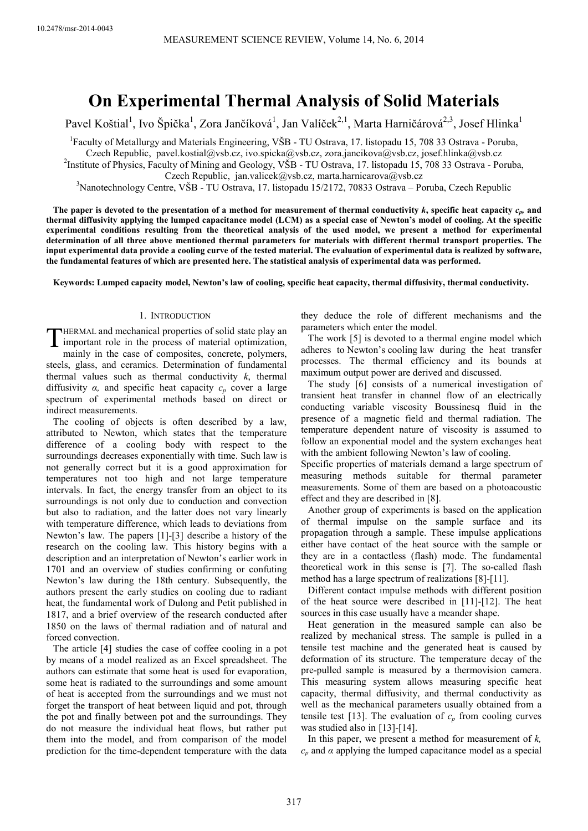# **On Experimental Thermal Analysis of Solid Materials**

Pavel Koštial<sup>1</sup>, Ivo Špička<sup>1</sup>, Zora Jančíková<sup>1</sup>, Jan Valíček<sup>2,1</sup>, Marta Harničárová<sup>2,3</sup>, Josef Hlinka<sup>1</sup>

<sup>1</sup> Faculty of Metallurgy and Materials Engineering, VŠB - TU Ostrava, 17. listopadu 15, 708 33 Ostrava - Poruba,

Czech Republic, pavel.kostial@vsb.cz, ivo.spicka@vsb.cz, zora.jancikova@vsb.cz, josef.hlinka@vsb.cz

<sup>2</sup>Institute of Physics, Faculty of Mining and Geology, VŠB - TU Ostrava, 17. listopadu 15, 708 33 Ostrava - Poruba, Czech Republic, jan.valicek@vsb.cz, marta.harnicarova@vsb.cz

<sup>3</sup>Nanotechnology Centre, VŠB - TU Ostrava, 17. listopadu 15/2172, 70833 Ostrava – Poruba, Czech Republic

The paper is devoted to the presentation of a method for measurement of thermal conductivity  $k$ , specific heat capacity  $c_p$ , and **thermal diffusivity applying the lumped capacitance model (LCM) as a special case of Newton's model of cooling. At the specific experimental conditions resulting from the theoretical analysis of the used model, we present a method for experimental determination of all three above mentioned thermal parameters for materials with different thermal transport properties. The input experimental data provide a cooling curve of the tested material. The evaluation of experimental data is realized by software, the fundamental features of which are presented here. The statistical analysis of experimental data was performed.** 

**Keywords: Lumped capacity model, Newton's law of cooling, specific heat capacity, thermal diffusivity, thermal conductivity.** 

# 1. INTRODUCTION

HERMAL and mechanical properties of solid state play an **THERMAL and mechanical properties of solid state play an** important role in the process of material optimization, mainly in the ages of composites, congrate polymera

mainly in the case of composites, concrete, polymers, steels, glass, and ceramics. Determination of fundamental thermal values such as thermal conductivity *k*, thermal diffusivity  $\alpha$ , and specific heat capacity  $c_p$  cover a large spectrum of experimental methods based on direct or indirect measurements.

The cooling of objects is often described by a law, attributed to Newton, which states that the temperature difference of a cooling body with respect to the surroundings decreases exponentially with time. Such law is not generally correct but it is a good approximation for temperatures not too high and not large temperature intervals. In fact, the energy transfer from an object to its surroundings is not only due to conduction and convection but also to radiation, and the latter does not vary linearly with temperature difference, which leads to deviations from Newton's law. The papers [1]-[3] describe a history of the research on the cooling law. This history begins with a description and an interpretation of Newton's earlier work in 1701 and an overview of studies confirming or confuting Newton's law during the 18th century. Subsequently, the authors present the early studies on cooling due to radiant heat, the fundamental work of Dulong and Petit published in 1817, and a brief overview of the research conducted after 1850 on the laws of thermal radiation and of natural and forced convection.

The article [4] studies the case of coffee cooling in a pot by means of a model realized as an Excel spreadsheet. The authors can estimate that some heat is used for evaporation, some heat is radiated to the surroundings and some amount of heat is accepted from the surroundings and we must not forget the transport of heat between liquid and pot, through the pot and finally between pot and the surroundings. They do not measure the individual heat flows, but rather put them into the model, and from comparison of the model prediction for the time-dependent temperature with the data

they deduce the role of different mechanisms and the parameters which enter the model.

The work [5] is devoted to a thermal engine model which adheres to Newton's cooling law during the heat transfer processes. The thermal efficiency and its bounds at maximum output power are derived and discussed.

The study [6] consists of a numerical investigation of transient heat transfer in channel flow of an electrically conducting variable viscosity Boussinesq fluid in the presence of a magnetic field and thermal radiation. The temperature dependent nature of viscosity is assumed to follow an exponential model and the system exchanges heat with the ambient following Newton's law of cooling.

Specific properties of materials demand a large spectrum of measuring methods suitable for thermal parameter measurements. Some of them are based on a photoacoustic effect and they are described in [8].

Another group of experiments is based on the application of thermal impulse on the sample surface and its propagation through a sample. These impulse applications either have contact of the heat source with the sample or they are in a contactless (flash) mode. The fundamental theoretical work in this sense is [7]. The so-called flash method has a large spectrum of realizations [8]-[11].

Different contact impulse methods with different position of the heat source were described in [11]-[12]. The heat sources in this case usually have a meander shape.

Heat generation in the measured sample can also be realized by mechanical stress. The sample is pulled in a tensile test machine and the generated heat is caused by deformation of its structure. The temperature decay of the pre-pulled sample is measured by a thermovision camera. This measuring system allows measuring specific heat capacity, thermal diffusivity, and thermal conductivity as well as the mechanical parameters usually obtained from a tensile test [13]. The evaluation of  $c_p$  from cooling curves was studied also in [13]-[14].

In this paper, we present a method for measurement of *k,*   $c_p$  and  $\alpha$  applying the lumped capacitance model as a special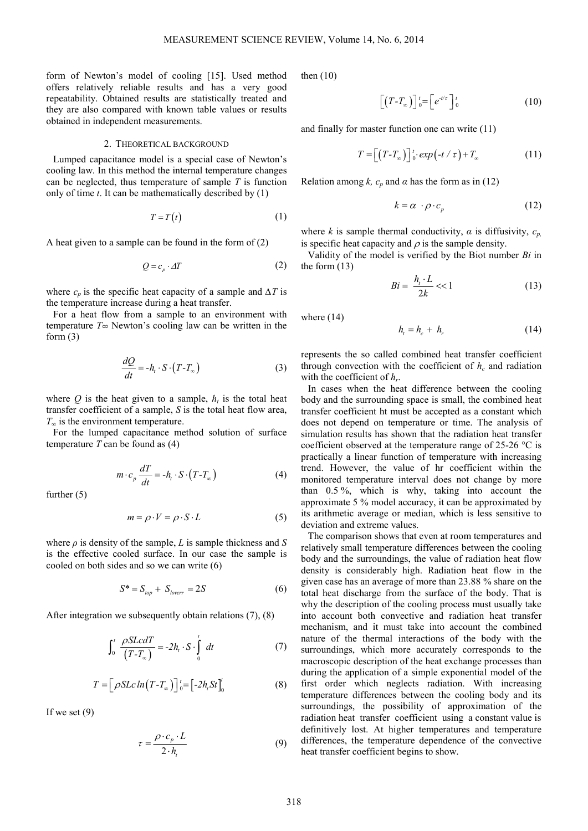form of Newton's model of cooling [15]. Used method offers relatively reliable results and has a very good repeatability. Obtained results are statistically treated and they are also compared with known table values or results obtained in independent measurements.

#### 2. THEORETICAL BACKGROUND

Lumped capacitance model is a special case of Newton's cooling law. In this method the internal temperature changes can be neglected, thus temperature of sample *T* is function only of time *t*. It can be mathematically described by (1)

$$
T = T(t) \tag{1}
$$

A heat given to a sample can be found in the form of (2)

$$
Q = c_p \cdot \Delta T \tag{2}
$$

where  $c_p$  is the specific heat capacity of a sample and  $\Delta T$  is the temperature increase during a heat transfer.

For a heat flow from a sample to an environment with temperature *T∞* Newton's cooling law can be written in the form  $(3)$ 

$$
\frac{dQ}{dt} = -h_t \cdot S \cdot (T - T_{\infty})
$$
\n(3)

where  $Q$  is the heat given to a sample,  $h_t$  is the total heat transfer coefficient of a sample, *S* is the total heat flow area, *T∞* is the environment temperature.

For the lumped capacitance method solution of surface temperature  $T$  can be found as  $(4)$ 

$$
m \cdot c_p \frac{dT}{dt} = -h_t \cdot S \cdot (T - T_\infty)
$$
 (4)

further (5)

$$
m = \rho \cdot V = \rho \cdot S \cdot L \tag{5}
$$

where  $\rho$  is density of the sample, *L* is sample thickness and *S* is the effective cooled surface. In our case the sample is cooled on both sides and so we can write (6)

$$
S^* = S_{top} + S_{lower} = 2S \tag{6}
$$

After integration we subsequently obtain relations (7), (8)

$$
\int_0^t \frac{\rho SLc dT}{(T - T_{\infty})} = -2h_t \cdot S \cdot \int_0^t dt
$$
 (7)

$$
T = \left[\rho SLc\ln(T - T_{\infty})\right]_0^t = \left[-2h_tSt\right]_0^t\tag{8}
$$

If we set  $(9)$ 

$$
\tau = \frac{\rho \cdot c_p \cdot L}{2 \cdot h_t} \tag{9}
$$

then (10)

$$
\[T - T_{\infty}\)]_{0}^{t} = \left[e^{-t/\tau}\right]_{0}^{t} \tag{10}
$$

and finally for master function one can write (11)

$$
T = \left[ \left( T - T_{\infty} \right) \right]_0^t \cdot \exp\left( -t / \tau \right) + T_{\infty} \tag{11}
$$

Relation among *k, c<sub>p</sub>* and  $\alpha$  has the form as in (12)

$$
k = \alpha \cdot \rho \cdot c_p \tag{12}
$$

where *k* is sample thermal conductivity,  $\alpha$  is diffusivity,  $c_p$ , is specific heat capacity and  $\rho$  is the sample density.

Validity of the model is verified by the Biot number *Bi* in the form (13)

$$
Bi = \frac{h_i \cdot L}{2k} \ll 1\tag{13}
$$

where (14)

$$
h_t = h_c + h_r \tag{14}
$$

represents the so called combined heat transfer coefficient through convection with the coefficient of  $h_c$  and radiation with the coefficient of *h<sup>r</sup>* .

In cases when the heat difference between the cooling body and the surrounding space is small, the combined heat transfer coefficient ht must be accepted as a constant which does not depend on temperature or time. The analysis of simulation results has shown that the radiation heat transfer coefficient observed at the temperature range of 25-26 °C is practically a linear function of temperature with increasing trend. However, the value of hr coefficient within the monitored temperature interval does not change by more than 0.5 %, which is why, taking into account the approximate 5 % model accuracy, it can be approximated by its arithmetic average or median, which is less sensitive to deviation and extreme values.

The comparison shows that even at room temperatures and relatively small temperature differences between the cooling body and the surroundings, the value of radiation heat flow density is considerably high. Radiation heat flow in the given case has an average of more than 23.88 % share on the total heat discharge from the surface of the body. That is why the description of the cooling process must usually take into account both convective and radiation heat transfer mechanism, and it must take into account the combined nature of the thermal interactions of the body with the surroundings, which more accurately corresponds to the macroscopic description of the heat exchange processes than during the application of a simple exponential model of the first order which neglects radiation. With increasing temperature differences between the cooling body and its surroundings, the possibility of approximation of the radiation heat transfer coefficient using a constant value is definitively lost. At higher temperatures and temperature differences, the temperature dependence of the convective heat transfer coefficient begins to show.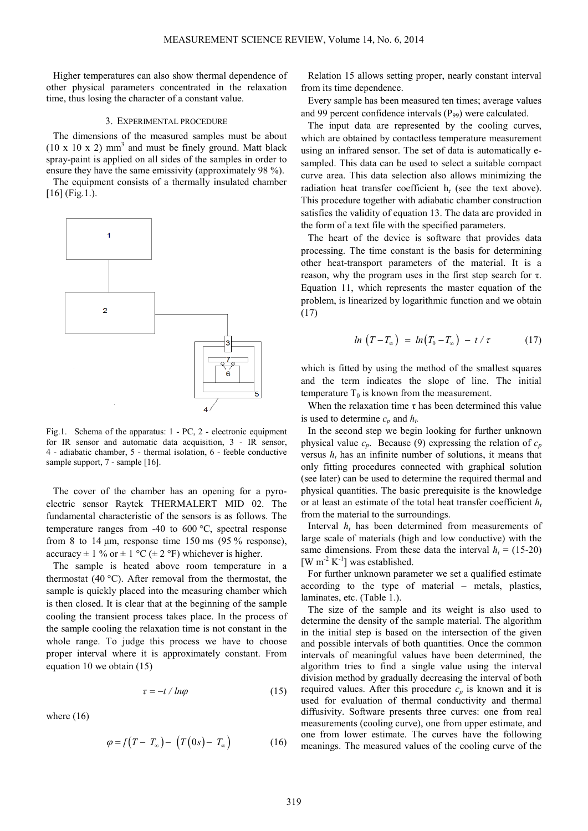Higher temperatures can also show thermal dependence of other physical parameters concentrated in the relaxation time, thus losing the character of a constant value.

#### 3. EXPERIMENTAL PROCEDURE

The dimensions of the measured samples must be about  $(10 \times 10 \times 2)$  mm<sup>3</sup> and must be finely ground. Matt black spray-paint is applied on all sides of the samples in order to ensure they have the same emissivity (approximately 98 %).

The equipment consists of a thermally insulated chamber [16] (Fig.1.).



Fig.1. Schema of the apparatus: 1 - PC, 2 - electronic equipment for IR sensor and automatic data acquisition, 3 - IR sensor, 4 - adiabatic chamber, 5 - thermal isolation, 6 - feeble conductive sample support, 7 - sample [16].

The cover of the chamber has an opening for a pyroelectric sensor Raytek THERMALERT MID 02. The fundamental characteristic of the sensors is as follows. The temperature ranges from -40 to 600 °C, spectral response from 8 to 14  $\mu$ m, response time 150 ms (95 % response), accuracy  $\pm$  1 % or  $\pm$  1 °C ( $\pm$  2 °F) whichever is higher.

The sample is heated above room temperature in a thermostat (40 °C). After removal from the thermostat, the sample is quickly placed into the measuring chamber which is then closed. It is clear that at the beginning of the sample cooling the transient process takes place. In the process of the sample cooling the relaxation time is not constant in the whole range. To judge this process we have to choose proper interval where it is approximately constant. From equation 10 we obtain (15)

$$
\tau = -t / ln\varphi \tag{15}
$$

where  $(16)$ 

$$
\varphi = \left[ \left( T - T_{\infty} \right) - \left( T \left( 0s \right) - T_{\infty} \right) \right] \tag{16}
$$

Relation 15 allows setting proper, nearly constant interval from its time dependence.

Every sample has been measured ten times; average values and 99 percent confidence intervals  $(P_{99})$  were calculated.

The input data are represented by the cooling curves, which are obtained by contactless temperature measurement using an infrared sensor. The set of data is automatically esampled. This data can be used to select a suitable compact curve area. This data selection also allows minimizing the radiation heat transfer coefficient  $h_r$  (see the text above). This procedure together with adiabatic chamber construction satisfies the validity of equation 13. The data are provided in the form of a text file with the specified parameters.

The heart of the device is software that provides data processing. The time constant is the basis for determining other heat-transport parameters of the material. It is a reason, why the program uses in the first step search for τ. Equation 11, which represents the master equation of the problem, is linearized by logarithmic function and we obtain (17)

$$
ln(T - T_{\infty}) = ln(T_0 - T_{\infty}) - t / \tau \qquad (17)
$$

which is fitted by using the method of the smallest squares and the term indicates the slope of line. The initial temperature  $T_0$  is known from the measurement.

When the relaxation time  $\tau$  has been determined this value is used to determine  $c_p$  and  $h_t$ .

In the second step we begin looking for further unknown physical value  $c_p$ . Because (9) expressing the relation of  $c_p$ versus  $h_t$  has an infinite number of solutions, it means that only fitting procedures connected with graphical solution (see later) can be used to determine the required thermal and physical quantities. The basic prerequisite is the knowledge or at least an estimate of the total heat transfer coefficient *h<sup>t</sup>* from the material to the surroundings.

Interval  $h_t$  has been determined from measurements of large scale of materials (high and low conductive) with the same dimensions. From these data the interval  $h_t = (15-20)$ [W  $m^{-2}$  K<sup>-1</sup>] was established.

For further unknown parameter we set a qualified estimate according to the type of material – metals, plastics, laminates, etc. (Table 1.).

The size of the sample and its weight is also used to determine the density of the sample material. The algorithm in the initial step is based on the intersection of the given and possible intervals of both quantities. Once the common intervals of meaningful values have been determined, the algorithm tries to find a single value using the interval division method by gradually decreasing the interval of both required values. After this procedure  $c_p$  is known and it is used for evaluation of thermal conductivity and thermal diffusivity. Software presents three curves: one from real measurements (cooling curve), one from upper estimate, and one from lower estimate. The curves have the following meanings. The measured values of the cooling curve of the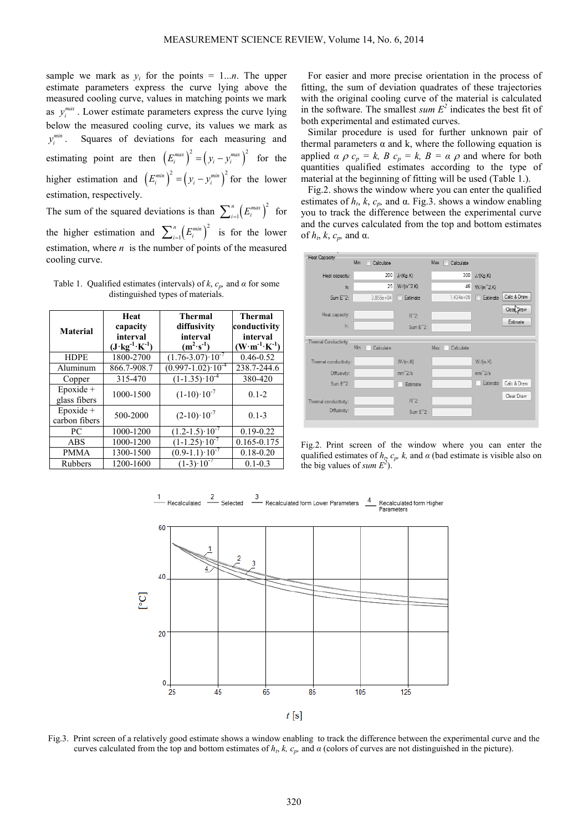sample we mark as  $y_i$  for the points = 1...*n*. The upper estimate parameters express the curve lying above the measured cooling curve, values in matching points we mark as  $y_i^{max}$ . Lower estimate parameters express the curve lying below the measured cooling curve, its values we mark as *min i* Squares of deviations for each measuring and estimating point are then  $(E_i^{max})^2 = (y_i - y_i^{max})^2$  for the higher estimation and  $(E_i^{min})^2 = (y_i - y_i^{min})^2$  for the lower estimation, respectively.

The sum of the squared deviations is than  $\sum_{i=1}^{n} (E_i^{max})^2$ 1  $\sum_{i=1}^{n} (E_i^{max})^2$  for the higher estimation and  $\sum_{i=1}^{n} (E_i^{min})^2$ 1  $\sum_{i=1}^{n} (E_i^{\text{min}})^2$  is for the lower estimation, where  $n$  is the number of points of the measured cooling curve.

Table 1. Qualified estimates (intervals) of  $k$ ,  $c_p$ , and  $\alpha$  for some distinguished types of materials.

| <b>Material</b>               | Heat<br>capacity<br>interval<br>$(J \cdot kg^{-1} \cdot K^{-1})$ | <b>Thermal</b><br>diffusivity<br>interval<br>$(m^2 \cdot s^{-1})$ | <b>Thermal</b><br>conductivity<br>interval<br>$(\mathbf{W}\cdot\mathbf{m}^{-1}\cdot\mathbf{K}^{-1})$ |
|-------------------------------|------------------------------------------------------------------|-------------------------------------------------------------------|------------------------------------------------------------------------------------------------------|
| <b>HDPE</b>                   | 1800-2700                                                        | $(1.76 - 3.07) \cdot 10^{-7}$                                     | $0.46 - 0.52$                                                                                        |
| Aluminum                      | 866.7-908.7                                                      | $(0.997 - 1.02) \cdot 10^{-4}$                                    | 238.7-244.6                                                                                          |
| Copper                        | 315-470                                                          | $(1-1.35) \cdot 10^{-4}$                                          | 380-420                                                                                              |
| Epoxide +<br>glass fibers     | 1000-1500                                                        | $(1-10) \cdot 10^{-7}$                                            | $0.1 - 2$                                                                                            |
| $E$ poxide +<br>carbon fibers | 500-2000                                                         | $(2-10) \cdot 10^{-7}$                                            | $0.1 - 3$                                                                                            |
| PC.                           | 1000-1200                                                        | $(1.2-1.5)$ 10 <sup>-7</sup>                                      | $0.19 - 0.22$                                                                                        |
| <b>ABS</b>                    | 1000-1200                                                        | $(1-1.25) \cdot 10^{-7}$                                          | 0.165-0.175                                                                                          |
| <b>PMMA</b>                   | 1300-1500                                                        | $(0.9-1.1)\cdot 10^{-7}$                                          | $0.18 - 0.20$                                                                                        |
| <b>Rubbers</b>                | 1200-1600                                                        | $(1-3)$ 10                                                        | $0.1 - 0.3$                                                                                          |

For easier and more precise orientation in the process of fitting, the sum of deviation quadrates of these trajectories with the original cooling curve of the material is calculated in the software. The smallest  $sum E^2$  indicates the best fit of both experimental and estimated curves.

Similar procedure is used for further unknown pair of thermal parameters  $\alpha$  and k, where the following equation is applied  $\alpha \rho c_p = k$ ,  $B c_p = k$ ,  $B = \alpha \rho$  and where for both quantities qualified estimates according to the type of material at the beginning of fitting will be used (Table 1.).

Fig.2. shows the window where you can enter the qualified estimates of  $h_t$ ,  $k$ ,  $c_p$ , and  $\alpha$ . Fig.3. shows a window enabling you to track the difference between the experimental curve and the curves calculated from the top and bottom estimates of  $h_t$ ,  $k$ ,  $c_p$ , and  $\alpha$ .



Fig.2. Print screen of the window where you can enter the qualified estimates of  $h_t$ ,  $c_p$ ,  $k$ , and  $\alpha$  (bad estimate is visible also on the big values of *sum*  $E^2$ ).



Fig.3. Print screen of a relatively good estimate shows a window enabling to track the difference between the experimental curve and the curves calculated from the top and bottom estimates of  $h_t$ ,  $k$ ,  $c_p$ , and  $\alpha$  (colors of curves are not distinguished in the picture).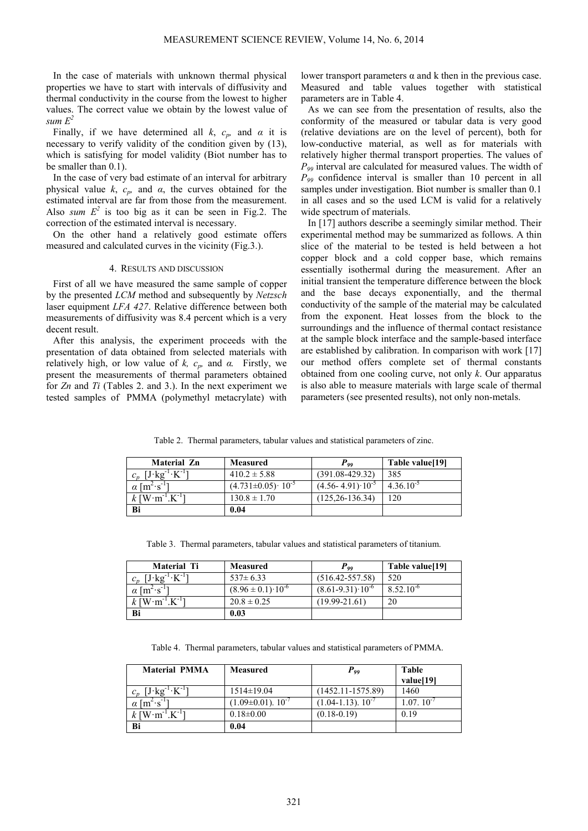In the case of materials with unknown thermal physical properties we have to start with intervals of diffusivity and thermal conductivity in the course from the lowest to higher values. The correct value we obtain by the lowest value of *sum*  $E^2$ 

Finally, if we have determined all  $k$ ,  $c_p$ , and  $\alpha$  it is necessary to verify validity of the condition given by (13), which is satisfying for model validity (Biot number has to be smaller than 0.1).

In the case of very bad estimate of an interval for arbitrary physical value  $k$ ,  $c_p$ , and  $\alpha$ , the curves obtained for the estimated interval are far from those from the measurement. Also *sum*  $E^2$  is too big as it can be seen in Fig.2. The correction of the estimated interval is necessary.

On the other hand a relatively good estimate offers measured and calculated curves in the vicinity (Fig.3.).

### 4. RESULTS AND DISCUSSION

First of all we have measured the same sample of copper by the presented *LCM* method and subsequently by *Netzsch* laser equipment *LFA 427*. Relative difference between both measurements of diffusivity was 8.4 percent which is a very decent result.

After this analysis, the experiment proceeds with the presentation of data obtained from selected materials with relatively high, or low value of *k, c<sub>p</sub>*, and  $\alpha$ . Firstly, we present the measurements of thermal parameters obtained for *Zn* and *Ti* (Tables 2. and 3.). In the next experiment we tested samples of PMMA (polymethyl metacrylate) with lower transport parameters  $α$  and  $k$  then in the previous case. Measured and table values together with statistical parameters are in Table 4.

As we can see from the presentation of results, also the conformity of the measured or tabular data is very good (relative deviations are on the level of percent), both for low-conductive material, as well as for materials with relatively higher thermal transport properties. The values of *P99* interval are calculated for measured values. The width of *P99* confidence interval is smaller than 10 percent in all samples under investigation. Biot number is smaller than 0.1 in all cases and so the used LCM is valid for a relatively wide spectrum of materials.

In [17] authors describe a seemingly similar method. Their experimental method may be summarized as follows. A thin slice of the material to be tested is held between a hot copper block and a cold copper base, which remains essentially isothermal during the measurement. After an initial transient the temperature difference between the block and the base decays exponentially, and the thermal conductivity of the sample of the material may be calculated from the exponent. Heat losses from the block to the surroundings and the influence of thermal contact resistance at the sample block interface and the sample-based interface are established by calibration. In comparison with work [17] our method offers complete set of thermal constants obtained from one cooling curve, not only *k*. Our apparatus is also able to measure materials with large scale of thermal parameters (see presented results), not only non-metals.

Table 2. Thermal parameters, tabular values and statistical parameters of zinc.

| <b>Material Zn</b>                              | <b>Measured</b>              | $\bm{P_{qq}}$                 | Table value[19] |
|-------------------------------------------------|------------------------------|-------------------------------|-----------------|
| $J \cdot kg^{-1} \cdot K^{-1}$                  | $410.2 \pm 5.88$             | $(391.08 - 429.32)$           | 385             |
| $\alpha$ [m <sup>2</sup> ·s <sup>-1</sup> ]     | $(4.731\pm0.05)\cdot10^{-5}$ | $(4.56 - 4.91) \cdot 10^{-5}$ | $4.36.10^{-5}$  |
| $k$ [W $\cdot$ m <sup>-1</sup> .K <sup>-1</sup> | $130.8 \pm 1.70$             | $(125, 26 - 136, 34)$         | 20              |
| Bi                                              | 0.04                         |                               |                 |

Table 3. Thermal parameters, tabular values and statistical parameters of titanium.

| <b>Material Ti</b>                                | Measured                       | $P_{qq}$                       | Table value[19] |
|---------------------------------------------------|--------------------------------|--------------------------------|-----------------|
| $J \cdot \text{kg}^{-1}$                          | $537 \pm 6.33$                 | $(516.42 - 557.58)$            | 520             |
| $\alpha$ [m <sup>2</sup> · s <sup>-1</sup> ]      | $(8.96 \pm 0.1) \cdot 10^{-6}$ | $(8.61-9.31)$ 10 <sup>-6</sup> | $8.52.10^{-6}$  |
| $k$ [W $\cdot$ m <sup>-1</sup> .K <sup>-1</sup> ] | $20.8 \pm 0.25$                | $(19.99 - 21.61)$              | 20              |
| Bi                                                | 0.03                           |                                |                 |

Table 4. Thermal parameters, tabular values and statistical parameters of PMMA.

| <b>Material PMMA</b>                              | <b>Measured</b>               | $P_{qq}$                    | <b>Table</b>    |
|---------------------------------------------------|-------------------------------|-----------------------------|-----------------|
|                                                   |                               |                             | value[19]       |
| $[J \text{ kg}^{-1} \text{ K}^{-1}]$              | $1514 \pm 19.04$              | $(1452.11 - 1575.89)$       | 1460            |
| $\chi$ [m <sup>2</sup> ·s <sup>-1</sup> ]         | $(1.09 \pm 0.01)$ . $10^{-7}$ | $(1.04 - 1.13)$ . $10^{-7}$ | $1.07, 10^{-7}$ |
| $k$ [W $\cdot$ m <sup>-1</sup> .K <sup>-1</sup> ] | $0.18 \pm 0.00$               | $(0.18 - 0.19)$             | 0.19            |
| Bi                                                | 0.04                          |                             |                 |